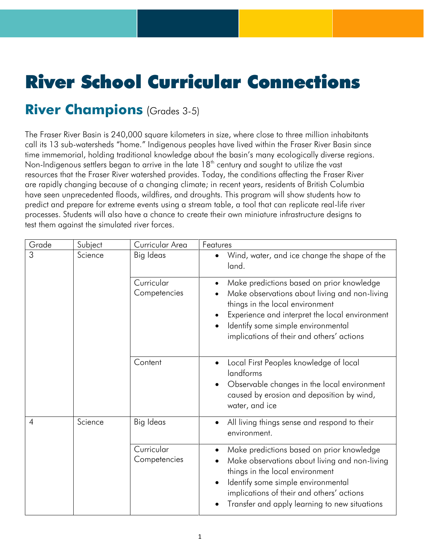## River School Curricular Connections

## **River Champions** (Grades 3-5)

The Fraser River Basin is 240,000 square kilometers in size, where close to three million inhabitants call its 13 sub-watersheds "home." Indigenous peoples have lived within the Fraser River Basin since time immemorial, holding traditional knowledge about the basin's many ecologically diverse regions. Non-Indigenous settlers began to arrive in the late 18<sup>th</sup> century and sought to utilize the vast resources that the Fraser River watershed provides. Today, the conditions affecting the Fraser River are rapidly changing because of a changing climate; in recent years, residents of British Columbia have seen unprecedented floods, wildfires, and droughts. This program will show students how to predict and prepare for extreme events using a stream table, a tool that can replicate real-life river processes. Students will also have a chance to create their own miniature infrastructure designs to test them against the simulated river forces.

| Grade | Subject | Curricular Area            | Features                                                                                                                                                                                                                                                                                     |
|-------|---------|----------------------------|----------------------------------------------------------------------------------------------------------------------------------------------------------------------------------------------------------------------------------------------------------------------------------------------|
| 3     | Science | Big Ideas                  | Wind, water, and ice change the shape of the<br>$\bullet$<br>land.                                                                                                                                                                                                                           |
|       |         | Curricular<br>Competencies | Make predictions based on prior knowledge<br>$\bullet$<br>Make observations about living and non-living<br>things in the local environment<br>Experience and interpret the local environment<br>$\bullet$<br>Identify some simple environmental<br>implications of their and others' actions |
|       |         | Content                    | Local First Peoples knowledge of local<br>$\bullet$<br>landforms<br>Observable changes in the local environment<br>$\bullet$<br>caused by erosion and deposition by wind,<br>water, and ice                                                                                                  |
| 4     | Science | Big Ideas                  | All living things sense and respond to their<br>environment.                                                                                                                                                                                                                                 |
|       |         | Curricular<br>Competencies | Make predictions based on prior knowledge<br>Make observations about living and non-living<br>things in the local environment<br>Identify some simple environmental<br>$\bullet$<br>implications of their and others' actions<br>Transfer and apply learning to new situations               |